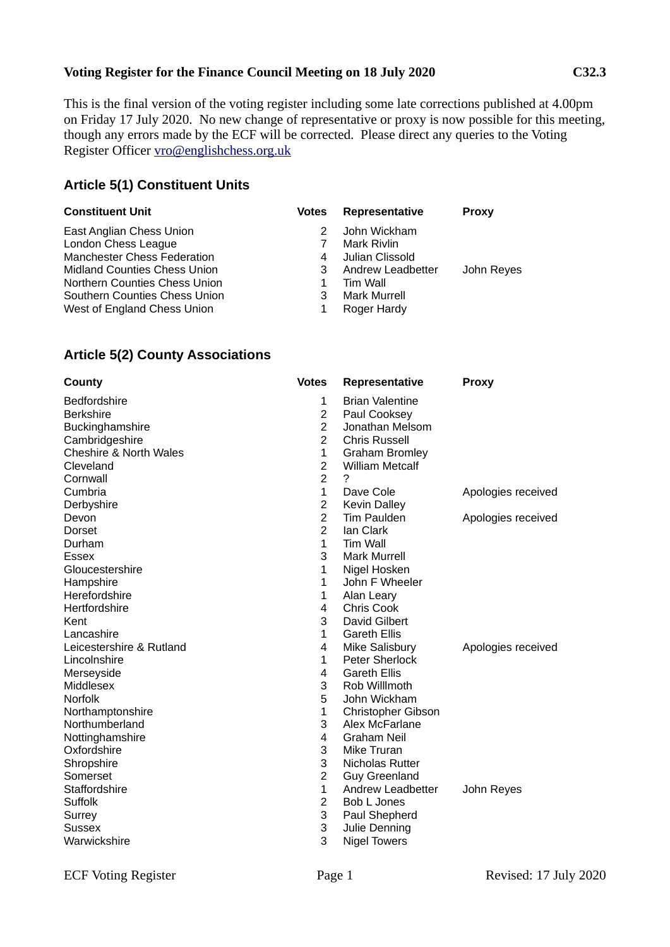#### **Voting Register for the Finance Council Meeting on 18 July 2020 C32.3**

This is the final version of the voting register including some late corrections published at 4.00pm on Friday 17 July 2020. No new change of representative or proxy is now possible for this meeting, though any errors made by the ECF will be corrected. Please direct any queries to the Voting Register Officer [vro@englishchess.org.uk](mailto:vro@englishchess.org.uk)

### **Article 5(1) Constituent Units**

| <b>Constituent Unit</b>             | <b>Votes</b> | Representative      | <b>Proxy</b> |
|-------------------------------------|--------------|---------------------|--------------|
| East Anglian Chess Union            |              | John Wickham        |              |
| London Chess League                 |              | Mark Rivlin         |              |
| <b>Manchester Chess Federation</b>  | 4            | Julian Clissold     |              |
| <b>Midland Counties Chess Union</b> | 3            | Andrew Leadbetter   | John Reyes   |
| Northern Counties Chess Union       |              | Tim Wall            |              |
| Southern Counties Chess Union       | 3            | <b>Mark Murrell</b> |              |
| West of England Chess Union         |              | Roger Hardy         |              |

#### **Article 5(2) County Associations**

| County                            | <b>Votes</b>   | Representative         | <b>Proxy</b>       |
|-----------------------------------|----------------|------------------------|--------------------|
| <b>Bedfordshire</b>               | 1              | <b>Brian Valentine</b> |                    |
| <b>Berkshire</b>                  | $\overline{c}$ | Paul Cooksey           |                    |
| Buckinghamshire                   | $\overline{2}$ | Jonathan Melsom        |                    |
| Cambridgeshire                    | $\overline{2}$ | <b>Chris Russell</b>   |                    |
| <b>Cheshire &amp; North Wales</b> | $\mathbf{1}$   | <b>Graham Bromley</b>  |                    |
| Cleveland                         | $\overline{2}$ | <b>William Metcalf</b> |                    |
| Cornwall                          | $\overline{2}$ | $\ddot{\phantom{0}}$   |                    |
| Cumbria                           | $\mathbf{1}$   | Dave Cole              | Apologies received |
| Derbyshire                        | $\overline{c}$ | <b>Kevin Dalley</b>    |                    |
| Devon                             | $\overline{2}$ | Tim Paulden            | Apologies received |
| <b>Dorset</b>                     | $\overline{2}$ | Ian Clark              |                    |
| Durham                            | $\mathbf{1}$   | <b>Tim Wall</b>        |                    |
| <b>Essex</b>                      | 3              | <b>Mark Murrell</b>    |                    |
| Gloucestershire                   | 1              | Nigel Hosken           |                    |
| Hampshire                         | 1              | John F Wheeler         |                    |
| Herefordshire                     | $\mathbf{1}$   | Alan Leary             |                    |
| Hertfordshire                     | 4              | Chris Cook             |                    |
| Kent                              | 3              | David Gilbert          |                    |
| Lancashire                        | 1              | <b>Gareth Ellis</b>    |                    |
| Leicestershire & Rutland          | 4              | Mike Salisbury         | Apologies received |
| Lincolnshire                      | $\mathbf{1}$   | Peter Sherlock         |                    |
| Merseyside                        | 4              | <b>Gareth Ellis</b>    |                    |
| Middlesex                         | 3              | Rob Willlmoth          |                    |
| <b>Norfolk</b>                    | 5              | John Wickham           |                    |
| Northamptonshire                  | $\mathbf 1$    | Christopher Gibson     |                    |
| Northumberland                    | 3              | Alex McFarlane         |                    |
| Nottinghamshire                   | $\overline{4}$ | <b>Graham Neil</b>     |                    |
| Oxfordshire                       | 3              | Mike Truran            |                    |
| Shropshire                        | 3              | Nicholas Rutter        |                    |
| Somerset                          | $\overline{c}$ | <b>Guy Greenland</b>   |                    |
| Staffordshire                     | $\mathbf{1}$   | Andrew Leadbetter      | John Reyes         |
| Suffolk                           | $\overline{2}$ | Bob L Jones            |                    |
| Surrey                            | 3              | Paul Shepherd          |                    |
| Sussex                            | 3              | Julie Denning          |                    |
| Warwickshire                      | 3              | <b>Nigel Towers</b>    |                    |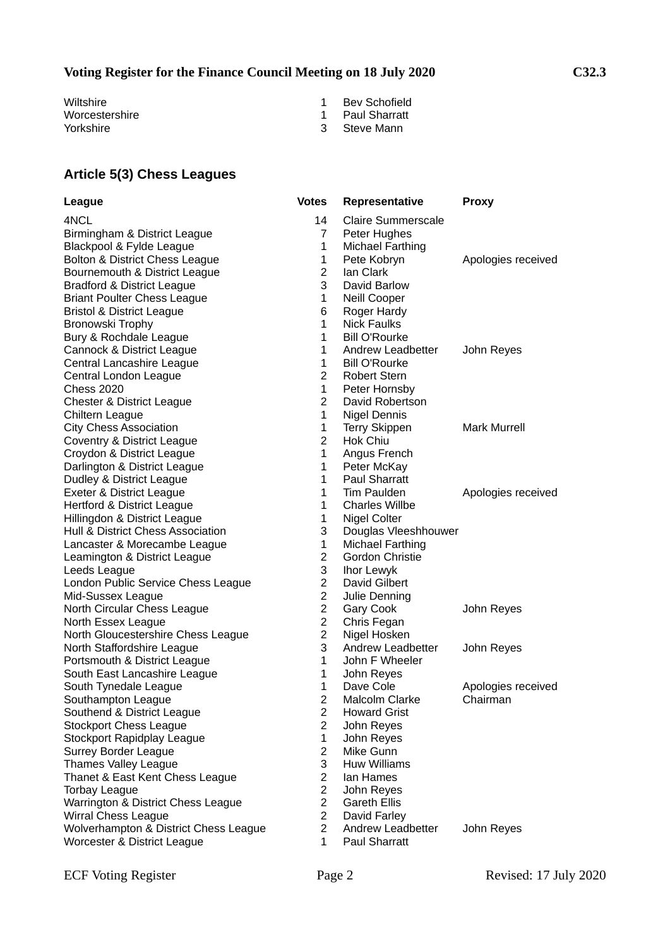# **Voting Register for the Finance Council Meeting on 18 July 2020 C32.3**

Wiltshire 1 Bev Schofield<br>
Worcestershire 1 Bev Schofield<br>
1 Bev Schofield<br>
1 Bev Schofield Worcestershire 1 Paul Sharratt<br>
Yorkshire 1 Paul Sharratt<br>
2 Steve Mann

- 
- 
- 3 Steve Mann

# **Article 5(3) Chess Leagues**

| League                                | <b>Votes</b>   | Representative          | <b>Proxy</b>        |
|---------------------------------------|----------------|-------------------------|---------------------|
| 4NCL                                  | 14             | Claire Summerscale      |                     |
| Birmingham & District League          | $\overline{7}$ | Peter Hughes            |                     |
| Blackpool & Fylde League              | $\mathbf{1}$   | <b>Michael Farthing</b> |                     |
| Bolton & District Chess League        | $\mathbf{1}$   | Pete Kobryn             | Apologies received  |
| Bournemouth & District League         | $\overline{2}$ | Ian Clark               |                     |
| Bradford & District League            | 3              | David Barlow            |                     |
| <b>Briant Poulter Chess League</b>    | 1              | Neill Cooper            |                     |
| <b>Bristol &amp; District League</b>  | 6              | Roger Hardy             |                     |
| Bronowski Trophy                      | $\mathbf{1}$   | <b>Nick Faulks</b>      |                     |
| Bury & Rochdale League                | $\mathbf{1}$   | <b>Bill O'Rourke</b>    |                     |
| Cannock & District League             | 1              | Andrew Leadbetter       | John Reyes          |
| Central Lancashire League             | $\mathbf{1}$   | <b>Bill O'Rourke</b>    |                     |
| Central London League                 | $\overline{2}$ | <b>Robert Stern</b>     |                     |
| <b>Chess 2020</b>                     | $\mathbf{1}$   | Peter Hornsby           |                     |
| Chester & District League             | $\overline{2}$ | David Robertson         |                     |
| Chiltern League                       | $\mathbf 1$    | Nigel Dennis            |                     |
| <b>City Chess Association</b>         | $\mathbf{1}$   | <b>Terry Skippen</b>    | <b>Mark Murrell</b> |
| Coventry & District League            | $\overline{2}$ | Hok Chiu                |                     |
| Croydon & District League             | $\mathbf{1}$   | Angus French            |                     |
| Darlington & District League          | $\mathbf{1}$   | Peter McKay             |                     |
| Dudley & District League              | $\mathbf{1}$   | <b>Paul Sharratt</b>    |                     |
| Exeter & District League              | $\mathbf{1}$   | <b>Tim Paulden</b>      | Apologies received  |
| Hertford & District League            | $\mathbf{1}$   | <b>Charles Willbe</b>   |                     |
| Hillingdon & District League          | 1              | Nigel Colter            |                     |
| Hull & District Chess Association     | 3              | Douglas Vleeshhouwer    |                     |
| Lancaster & Morecambe League          | $\mathbf{1}$   | Michael Farthing        |                     |
| Leamington & District League          | $\overline{2}$ | <b>Gordon Christie</b>  |                     |
| Leeds League                          | 3              | Ihor Lewyk              |                     |
| London Public Service Chess League    | $\overline{c}$ | David Gilbert           |                     |
| Mid-Sussex League                     | $\overline{c}$ | Julie Denning           |                     |
| North Circular Chess League           | $\overline{c}$ | Gary Cook               | John Reyes          |
| North Essex League                    | $\overline{2}$ | Chris Fegan             |                     |
| North Gloucestershire Chess League    | $\overline{2}$ | Nigel Hosken            |                     |
| North Staffordshire League            | 3              | Andrew Leadbetter       | John Reyes          |
| Portsmouth & District League          | $\mathbf{1}$   | John F Wheeler          |                     |
| South East Lancashire League          | $\mathbf{1}$   | John Reyes              |                     |
| South Tynedale League                 | 1              | Dave Cole               | Apologies received  |
| Southampton League                    | $\overline{c}$ | Malcolm Clarke          | Chairman            |
| Southend & District League            | $\overline{c}$ | <b>Howard Grist</b>     |                     |
| <b>Stockport Chess League</b>         | $\overline{a}$ | John Reyes              |                     |
| Stockport Rapidplay League            | 1              | John Reyes              |                     |
| Surrey Border League                  | $\overline{2}$ | Mike Gunn               |                     |
| Thames Valley League                  | 3              | <b>Huw Williams</b>     |                     |
| Thanet & East Kent Chess League       | $\overline{2}$ | Ian Hames               |                     |
| <b>Torbay League</b>                  | $\overline{2}$ | John Reyes              |                     |
| Warrington & District Chess League    | $\overline{2}$ | <b>Gareth Ellis</b>     |                     |
| <b>Wirral Chess League</b>            | $\overline{2}$ | David Farley            |                     |
| Wolverhampton & District Chess League | $\overline{2}$ | Andrew Leadbetter       | John Reyes          |
| Worcester & District League           | 1.             | <b>Paul Sharratt</b>    |                     |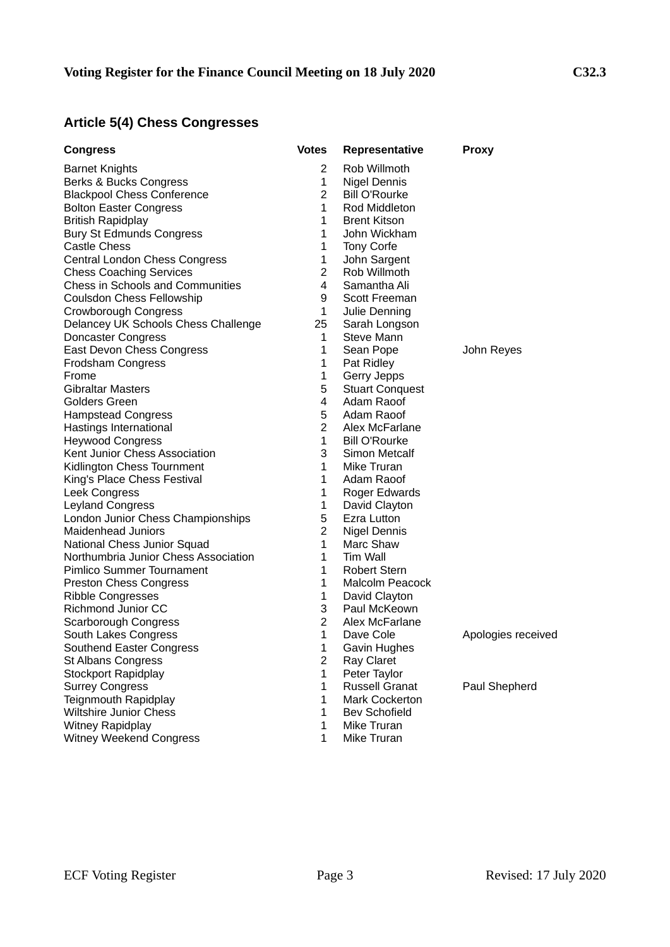# **Article 5(4) Chess Congresses**

| <b>Congress</b>                                       | <b>Votes</b>                   | <b>Representative</b>           | <b>Proxy</b>       |
|-------------------------------------------------------|--------------------------------|---------------------------------|--------------------|
| <b>Barnet Knights</b>                                 | 2                              | Rob Willmoth                    |                    |
| Berks & Bucks Congress                                | 1                              | <b>Nigel Dennis</b>             |                    |
| <b>Blackpool Chess Conference</b>                     | $\overline{2}$                 | <b>Bill O'Rourke</b>            |                    |
| <b>Bolton Easter Congress</b>                         | $\mathbf{1}$                   | Rod Middleton                   |                    |
| <b>British Rapidplay</b>                              | $\mathbf{1}$                   | <b>Brent Kitson</b>             |                    |
| <b>Bury St Edmunds Congress</b>                       | $\mathbf{1}$                   | John Wickham                    |                    |
| Castle Chess                                          | $\mathbf{1}$                   | Tony Corfe                      |                    |
| Central London Chess Congress                         | 1                              | John Sargent                    |                    |
| <b>Chess Coaching Services</b>                        | $\overline{2}$                 | Rob Willmoth                    |                    |
| <b>Chess in Schools and Communities</b>               | 4                              | Samantha Ali                    |                    |
| <b>Coulsdon Chess Fellowship</b>                      | 9                              | <b>Scott Freeman</b>            |                    |
| Crowborough Congress                                  | $\mathbf{1}$                   | Julie Denning                   |                    |
| Delancey UK Schools Chess Challenge                   | 25                             | Sarah Longson                   |                    |
| <b>Doncaster Congress</b>                             | 1                              | Steve Mann                      |                    |
| East Devon Chess Congress                             | 1                              | Sean Pope                       | John Reyes         |
| Frodsham Congress                                     | 1                              | Pat Ridley                      |                    |
| Frome                                                 | $\mathbf{1}$                   | Gerry Jepps                     |                    |
| <b>Gibraltar Masters</b>                              | 5                              | <b>Stuart Conquest</b>          |                    |
| <b>Golders Green</b>                                  | 4                              | Adam Raoof                      |                    |
| <b>Hampstead Congress</b>                             | 5                              | Adam Raoof                      |                    |
| Hastings International                                | $\overline{2}$                 | Alex McFarlane                  |                    |
| <b>Heywood Congress</b>                               | $\mathbf{1}$                   | <b>Bill O'Rourke</b>            |                    |
| Kent Junior Chess Association                         | 3                              | Simon Metcalf                   |                    |
| Kidlington Chess Tournment                            | 1                              | Mike Truran                     |                    |
| King's Place Chess Festival                           | $\mathbf{1}$                   | Adam Raoof                      |                    |
| Leek Congress                                         | $\mathbf 1$                    | Roger Edwards                   |                    |
| Leyland Congress                                      | $\mathbf{1}$                   | David Clayton                   |                    |
| London Junior Chess Championships                     | 5                              | <b>Ezra Lutton</b>              |                    |
| <b>Maidenhead Juniors</b>                             | $\overline{c}$                 | <b>Nigel Dennis</b>             |                    |
| National Chess Junior Squad                           | $\mathbf{1}$                   | Marc Shaw                       |                    |
| Northumbria Junior Chess Association                  | $\mathbf{1}$                   | <b>Tim Wall</b>                 |                    |
| Pimlico Summer Tournament                             | $\mathbf{1}$                   | <b>Robert Stern</b>             |                    |
| <b>Preston Chess Congress</b>                         | $\mathbf{1}$                   | Malcolm Peacock                 |                    |
| <b>Ribble Congresses</b>                              | $\mathbf{1}$                   | David Clayton                   |                    |
| Richmond Junior CC                                    | 3                              | Paul McKeown                    |                    |
| Scarborough Congress                                  | 2<br>$\mathbf{1}$              | Alex McFarlane                  |                    |
| South Lakes Congress                                  |                                | Dave Cole                       | Apologies received |
| Southend Easter Congress                              | $\mathbf{1}$<br>$\overline{c}$ | Gavin Hughes                    |                    |
| <b>St Albans Congress</b>                             | $\mathbf 1$                    | Ray Claret<br>Peter Taylor      |                    |
| Stockport Rapidplay<br><b>Surrey Congress</b>         | $\mathbf 1$                    | <b>Russell Granat</b>           |                    |
|                                                       |                                |                                 | Paul Shepherd      |
| Teignmouth Rapidplay<br><b>Wiltshire Junior Chess</b> | 1<br>$\mathbf{1}$              | Mark Cockerton<br>Bev Schofield |                    |
|                                                       | $\mathbf{1}$                   | Mike Truran                     |                    |
| Witney Rapidplay<br><b>Witney Weekend Congress</b>    | 1                              | Mike Truran                     |                    |
|                                                       |                                |                                 |                    |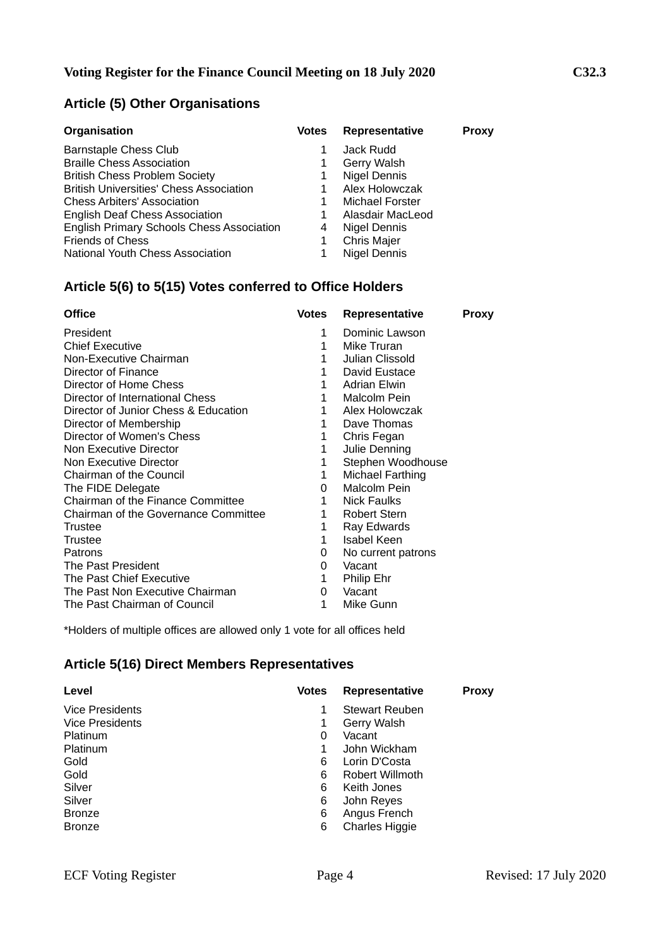# **Article (5) Other Organisations**

| Organisation                                     | <b>Votes</b> | Representative         | Proxy |
|--------------------------------------------------|--------------|------------------------|-------|
| <b>Barnstaple Chess Club</b>                     |              | Jack Rudd              |       |
| <b>Braille Chess Association</b>                 | 1            | Gerry Walsh            |       |
| <b>British Chess Problem Society</b>             | 1            | Nigel Dennis           |       |
| <b>British Universities' Chess Association</b>   |              | Alex Holowczak         |       |
| <b>Chess Arbiters' Association</b>               |              | <b>Michael Forster</b> |       |
| <b>English Deaf Chess Association</b>            |              | Alasdair MacLeod       |       |
| <b>English Primary Schools Chess Association</b> | 4            | <b>Nigel Dennis</b>    |       |
| <b>Friends of Chess</b>                          |              | Chris Majer            |       |
| National Youth Chess Association                 |              | <b>Nigel Dennis</b>    |       |

# **Article 5(6) to 5(15) Votes conferred to Office Holders**

| <b>Office</b>                        | <b>Votes</b> | <b>Representative</b> | <b>Proxy</b> |
|--------------------------------------|--------------|-----------------------|--------------|
| President                            | 1            | Dominic Lawson        |              |
| <b>Chief Executive</b>               | 1            | Mike Truran           |              |
| Non-Executive Chairman               | 1            | Julian Clissold       |              |
| Director of Finance                  | 1            | David Eustace         |              |
| Director of Home Chess               | 1            | Adrian Elwin          |              |
| Director of International Chess      | 1            | Malcolm Pein          |              |
| Director of Junior Chess & Education | 1            | Alex Holowczak        |              |
| Director of Membership               | 1            | Dave Thomas           |              |
| Director of Women's Chess            | 1            | Chris Fegan           |              |
| Non Executive Director               | 1            | Julie Denning         |              |
| Non Executive Director               | 1            | Stephen Woodhouse     |              |
| <b>Chairman of the Council</b>       | 1            | Michael Farthing      |              |
| The FIDE Delegate                    | 0            | <b>Malcolm Pein</b>   |              |
| Chairman of the Finance Committee    | 1            | Nick Faulks           |              |
| Chairman of the Governance Committee | 1            | <b>Robert Stern</b>   |              |
| Trustee                              | 1            | Ray Edwards           |              |
| Trustee                              | 1            | <b>Isabel Keen</b>    |              |
| Patrons                              | 0            | No current patrons    |              |
| The Past President                   | 0            | Vacant                |              |
| The Past Chief Executive             | 1            | Philip Ehr            |              |
| The Past Non Executive Chairman      | 0            | Vacant                |              |
| The Past Chairman of Council         | 1            | Mike Gunn             |              |

\*Holders of multiple offices are allowed only 1 vote for all offices held

### **Article 5(16) Direct Members Representatives**

| Level                  | <b>Votes</b> | <b>Representative</b> | <b>Proxy</b> |
|------------------------|--------------|-----------------------|--------------|
| <b>Vice Presidents</b> |              | Stewart Reuben        |              |
| <b>Vice Presidents</b> |              | Gerry Walsh           |              |
| Platinum               | 0            | Vacant                |              |
| Platinum               |              | John Wickham          |              |
| Gold                   | 6            | Lorin D'Costa         |              |
| Gold                   | 6            | Robert Willmoth       |              |
| Silver                 | 6            | Keith Jones           |              |
| Silver                 | 6            | John Reyes            |              |
| <b>Bronze</b>          | 6            | Angus French          |              |
| <b>Bronze</b>          | 6            | <b>Charles Higgie</b> |              |